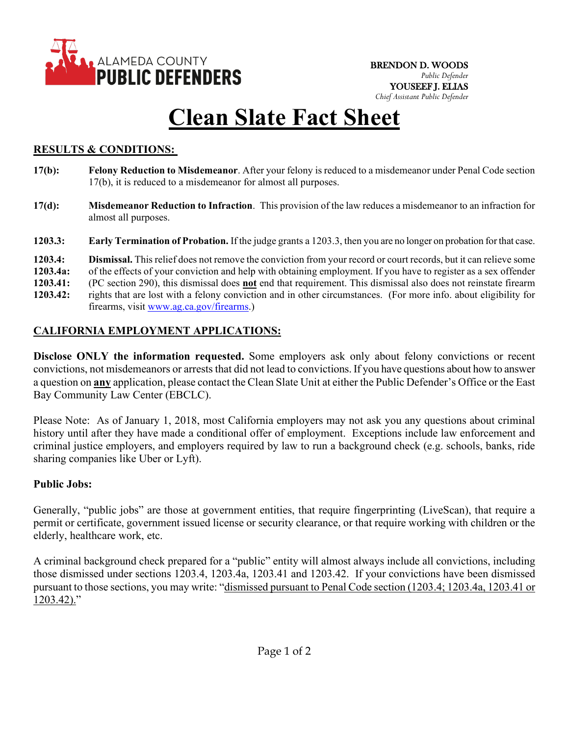

# **Clean Slate Fact Sheet**

### **RESULTS & CONDITIONS:**

- **17(b): Felony Reduction to Misdemeanor**. After your felony is reduced to a misdemeanor under Penal Code section 17(b), it is reduced to a misdemeanor for almost all purposes.
- **17(d): Misdemeanor Reduction to Infraction**. This provision of the law reduces a misdemeanor to an infraction for almost all purposes.
- **1203.3: Early Termination of Probation.** If the judge grants a 1203.3, then you are no longer on probation for that case.

**1203.4: Dismissal.** This relief does not remove the conviction from your record or court records, but it can relieve some

**1203.4a:** of the effects of your conviction and help with obtaining employment. If you have to register as a sex offender

- **1203.41:** (PC section 290), this dismissal does **not** end that requirement. This dismissal also does not reinstate firearm
- **1203.42:** rights that are lost with a felony conviction and in other circumstances. (For more info. about eligibility for firearms, visit [www.ag.ca.gov/firearms.](http://www.ag.ca.gov/firearms))

### **CALIFORNIA EMPLOYMENT APPLICATIONS:**

**Disclose ONLY the information requested.** Some employers ask only about felony convictions or recent convictions, not misdemeanors or arrests that did not lead to convictions. If you have questions about how to answer a question on **any** application, please contact the Clean Slate Unit at either the Public Defender's Office or the East Bay Community Law Center (EBCLC).

Please Note: As of January 1, 2018, most California employers may not ask you any questions about criminal history until after they have made a conditional offer of employment. Exceptions include law enforcement and criminal justice employers, and employers required by law to run a background check (e.g. schools, banks, ride sharing companies like Uber or Lyft).

#### **Public Jobs:**

Generally, "public jobs" are those at government entities, that require fingerprinting (LiveScan), that require a permit or certificate, government issued license or security clearance, or that require working with children or the elderly, healthcare work, etc.

A criminal background check prepared for a "public" entity will almost always include all convictions, including those dismissed under sections 1203.4, 1203.4a, 1203.41 and 1203.42. If your convictions have been dismissed pursuant to those sections, you may write: "dismissed pursuant to Penal Code section (1203.4; 1203.4a, 1203.41 or 1203.42)."